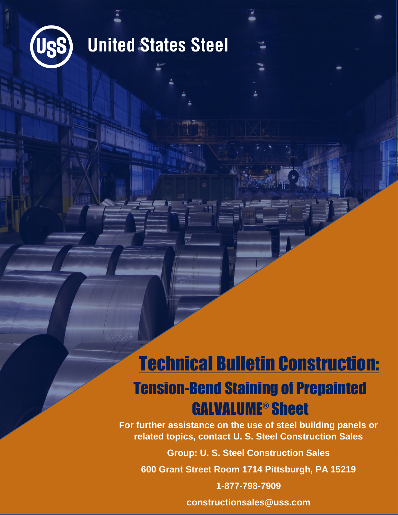

### **United States Steel**

### Technical Bulletin Construction:

### Tension-Bend Staining of Prepainted GALVALUME® Sheet

**For further assistance on the use of steel building panels or related topics, contact U. S. Steel Construction Sales**

**Group: U. S. Steel Construction Sales**

**600 Grant Street Room 1714 Pittsburgh, PA 15219**

**1-877-798-7909**

**constructionsales@uss.com**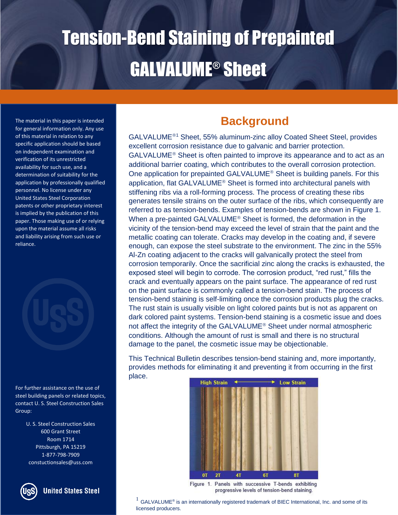The material in this paper is intended for general information only. Any use of this material in relation to any specific application should be based on independent examination and verification of its unrestricted availability for such use, and a determination of suitability for the application by professionally qualified personnel. No license under any United States Steel Corporation patents or other proprietary interest is implied by the publication of this paper. Those making use of or relying upon the material assume all risks and liability arising from such use or reliance.



For further assistance on the use of steel building panels or related topics, contact U. S. Steel Construction Sales Group:

> U. S. Steel Construction Sales 600 Grant Street Room 1714 Pittsburgh, PA 15219 1-877-798-7909 constuctionsales@uss.com



#### **United States Steel**

#### **Background**

GALVALUME<sup>®1</sup> Sheet, 55% aluminum-zinc alloy Coated Sheet Steel, provides excellent corrosion resistance due to galvanic and barrier protection.  $GALVALUME<sup>®</sup>$  Sheet is often painted to improve its appearance and to act as an additional barrier coating, which contributes to the overall corrosion protection. One application for prepainted GALVALUME<sup>®</sup> Sheet is building panels. For this application, flat GALVALUME<sup>®</sup> Sheet is formed into architectural panels with stiffening ribs via a roll-forming process. The process of creating these ribs generates tensile strains on the outer surface of the ribs, which consequently are referred to as tension-bends. Examples of tension-bends are shown in Figure 1. When a pre-painted GALVALUME<sup>®</sup> Sheet is formed, the deformation in the vicinity of the tension-bend may exceed the level of strain that the paint and the metallic coating can tolerate. Cracks may develop in the coating and, if severe enough, can expose the steel substrate to the environment. The zinc in the 55% Al-Zn coating adjacent to the cracks will galvanically protect the steel from corrosion temporarily. Once the sacrificial zinc along the cracks is exhausted, the exposed steel will begin to corrode. The corrosion product, "red rust," fills the crack and eventually appears on the paint surface. The appearance of red rust on the paint surface is commonly called a tension-bend stain. The process of tension-bend staining is self-limiting once the corrosion products plug the cracks. The rust stain is usually visible on light colored paints but is not as apparent on dark colored paint systems. Tension-bend staining is a cosmetic issue and does not affect the integrity of the GALVALUME<sup>®</sup> Sheet under normal atmospheric conditions. Although the amount of rust is small and there is no structural damage to the panel, the cosmetic issue may be objectionable.

This Technical Bulletin describes tension-bend staining and, more importantly, provides methods for eliminating it and preventing it from occurring in the first place.



Figure 1. Panels with successive T-bends exhibiting progressive levels of tension-bend staining.

 $^{1}$  GALVALUME® is an internationally registered trademark of BIEC International, Inc. and some of its licensed producers.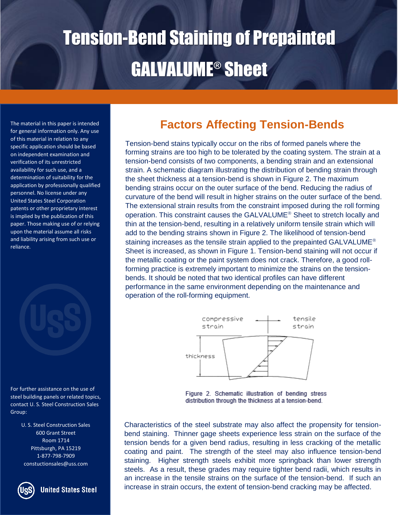for general information only. Any use of this material in relation to any specific application should be based on independent examination and verification of its unrestricted availability for such use, and a determination of suitability for the application by professionally qualified personnel. No license under any United States Steel Corporation patents or other proprietary interest is implied by the publication of this paper. Those making use of or relying upon the material assume all risks and liability arising from such use or reliance.



For further assistance on the use of steel building panels or related topics, contact U. S. Steel Construction Sales Group:

> U. S. Steel Construction Sales 600 Grant Street Room 1714 Pittsburgh, PA 15219 1-877-798-7909 constuctionsales@uss.com



**United States Steel** 

### The material in this paper is intended **Factors Affecting Tension-Bends**

Tension-bend stains typically occur on the ribs of formed panels where the forming strains are too high to be tolerated by the coating system. The strain at a tension-bend consists of two components, a bending strain and an extensional strain. A schematic diagram illustrating the distribution of bending strain through the sheet thickness at a tension-bend is shown in Figure 2. The maximum bending strains occur on the outer surface of the bend. Reducing the radius of curvature of the bend will result in higher strains on the outer surface of the bend. The extensional strain results from the constraint imposed during the roll forming operation. This constraint causes the GALVALUME<sup>®</sup> Sheet to stretch locally and thin at the tension-bend, resulting in a relatively uniform tensile strain which will add to the bending strains shown in Figure 2. The likelihood of tension-bend staining increases as the tensile strain applied to the prepainted GALVALUME<sup>®</sup> Sheet is increased, as shown in Figure 1. Tension-bend staining will not occur if the metallic coating or the paint system does not crack. Therefore, a good rollforming practice is extremely important to minimize the strains on the tensionbends. It should be noted that two identical profiles can have different performance in the same environment depending on the maintenance and operation of the roll-forming equipment.



Figure 2. Schematic illustration of bending stress distribution through the thickness at a tension-bend.

Characteristics of the steel substrate may also affect the propensity for tensionbend staining. Thinner gage sheets experience less strain on the surface of the tension bends for a given bend radius, resulting in less cracking of the metallic coating and paint. The strength of the steel may also influence tension-bend staining. Higher strength steels exhibit more springback than lower strength steels. As a result, these grades may require tighter bend radii, which results in an increase in the tensile strains on the surface of the tension-bend. If such an increase in strain occurs, the extent of tension-bend cracking may be affected.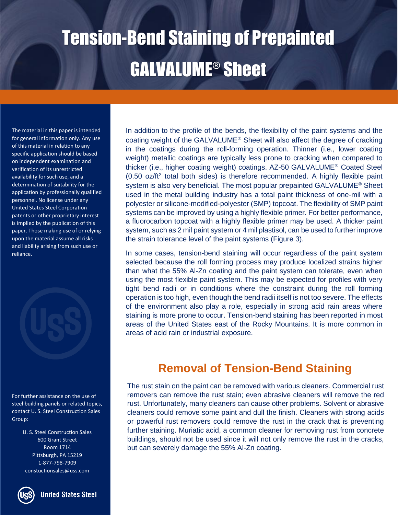The material in this paper is intended for general information only. Any use of this material in relation to any specific application should be based on independent examination and verification of its unrestricted availability for such use, and a determination of suitability for the application by professionally qualified personnel. No license under any United States Steel Corporation patents or other proprietary interest is implied by the publication of this paper. Those making use of or relying upon the material assume all risks and liability arising from such use or reliance.



For further assistance on the use of steel building panels or related topics, contact U. S. Steel Construction Sales Group:

> U. S. Steel Construction Sales 600 Grant Street Room 1714 Pittsburgh, PA 15219 1-877-798-7909 constuctionsales@uss.com

In addition to the profile of the bends, the flexibility of the paint systems and the coating weight of the GALVALUME<sup>®</sup> Sheet will also affect the degree of cracking in the coatings during the roll-forming operation. Thinner (i.e., lower coating weight) metallic coatings are typically less prone to cracking when compared to thicker (i.e., higher coating weight) coatings. AZ-50 GALVALUME<sup>®</sup> Coated Steel (0.50 oz/ft<sup>2</sup> total both sides) is therefore recommended. A highly flexible paint system is also very beneficial. The most popular prepainted GALVALUME<sup>®</sup> Sheet used in the metal building industry has a total paint thickness of one-mil with a polyester or silicone-modified-polyester (SMP) topcoat. The flexibility of SMP paint systems can be improved by using a highly flexible primer. For better performance, a fluorocarbon topcoat with a highly flexible primer may be used. A thicker paint system, such as 2 mil paint system or 4 mil plastisol, can be used to further improve the strain tolerance level of the paint systems (Figure 3).

In some cases, tension-bend staining will occur regardless of the paint system selected because the roll forming process may produce localized strains higher than what the 55% Al-Zn coating and the paint system can tolerate, even when using the most flexible paint system. This may be expected for profiles with very tight bend radii or in conditions where the constraint during the roll forming operation is too high, even though the bend radii itself is not too severe. The effects of the environment also play a role, especially in strong acid rain areas where staining is more prone to occur. Tension-bend staining has been reported in most areas of the United States east of the Rocky Mountains. It is more common in areas of acid rain or industrial exposure.

#### **Removal of Tension-Bend Staining**

The rust stain on the paint can be removed with various cleaners. Commercial rust removers can remove the rust stain; even abrasive cleaners will remove the red rust. Unfortunately, many cleaners can cause other problems. Solvent or abrasive cleaners could remove some paint and dull the finish. Cleaners with strong acids or powerful rust removers could remove the rust in the crack that is preventing further staining. Muriatic acid, a common cleaner for removing rust from concrete buildings, should not be used since it will not only remove the rust in the cracks, but can severely damage the 55% Al-Zn coating.

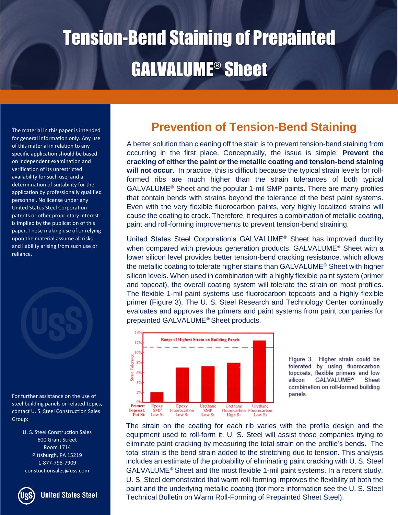The material in this paper is intended for general information only. Any use of this material in relation to any specific application should be based on independent examination and verification of its unrestricted availability for such use, and a determination of suitability for the application by professionally qualified personnel. No license under any United States Steel Corporation patents or other proprietary interest is implied by the publication of this paper. Those making use of or relying upon the material assume all risks and liability arising from such use or reliance.

For further assistance on the use of steel building panels or related topics, contact U. S. Steel Construction Sales Group:

> U. S. Steel Construction Sales 600 Grant Street Room 1714 Pittsburgh, PA 15219 1-877-798-7909 constuctionsales@uss.com

**United States Steel** 

#### **Prevention of Tension-Bend Staining**

A better solution than cleaning off the stain is to prevent tension-bend staining from occurring in the first place. Conceptually, the issue is simple: **Prevent the cracking of either the paint or the metallic coating and tension-bend staining will not occur**. In practice, this is difficult because the typical strain levels for rollformed ribs are much higher than the strain tolerances of both typical  $GALVALUME<sup>®</sup>$  Sheet and the popular 1-mil SMP paints. There are many profiles that contain bends with strains beyond the tolerance of the best paint systems. Even with the very flexible fluorocarbon paints, very highly localized strains will cause the coating to crack. Therefore, it requires a combination of metallic coating, paint and roll-forming improvements to prevent tension-bend straining.

United States Steel Corporation's GALVALUME<sup>®</sup> Sheet has improved ductility when compared with previous generation products. GALVALUME<sup>®</sup> Sheet with a lower silicon level provides better tension-bend cracking resistance, which allows the metallic coating to tolerate higher stains than GALVALUME<sup>®</sup> Sheet with higher silicon levels. When used in combination with a highly flexible paint system (primer and topcoat), the overall coating system will tolerate the strain on most profiles. The flexible 1-mil paint systems use fluorocarbon topcoats and a highly flexible primer (Figure 3). The U. S. Steel Research and Technology Center continually evaluates and approves the primers and paint systems from paint companies for prepainted GALVALUME<sup>®</sup> Sheet products.



Figure 3. Higher strain could be tolerated by using fluorocarbon topcoats, flexible primers and low silicon **GALVALUME®** Sheet combination on roll-formed building panels.

The strain on the coating for each rib varies with the profile design and the equipment used to roll-form it. U. S. Steel will assist those companies trying to eliminate paint cracking by measuring the total strain on the profile's bends. The total strain is the bend strain added to the stretching due to tension. This analysis includes an estimate of the probability of eliminating paint cracking with U. S. Steel  $GALVALUME<sup>®</sup>$  Sheet and the most flexible 1-mil paint systems. In a recent study, U. S. Steel demonstrated that warm roll-forming improves the flexibility of both the paint and the underlying metallic coating (for more information see the U. S. Steel Technical Bulletin on Warm Roll-Forming of Prepainted Sheet Steel).